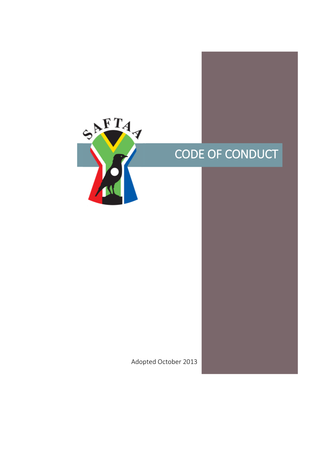

# CODE OF CONDUCT

Adopted October 2013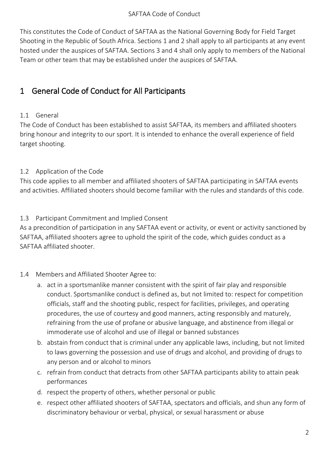This constitutes the Code of Conduct of SAFTAA as the National Governing Body for Field Target Shooting in the Republic of South Africa. Sections 1 and 2 shall apply to all participants at any event hosted under the auspices of SAFTAA. Sections 3 and 4 shall only apply to members of the National Team or other team that may be established under the auspices of SAFTAA.

# <span id="page-2-0"></span>1 General Code of Conduct for All Participants

## 1.1 General

The Code of Conduct has been established to assist SAFTAA, its members and affiliated shooters bring honour and integrity to our sport. It is intended to enhance the overall experience of field target shooting.

# 1.2 Application of the Code

This code applies to all member and affiliated shooters of SAFTAA participating in SAFTAA events and activities. Affiliated shooters should become familiar with the rules and standards of this code.

## 1.3 Participant Commitment and Implied Consent

As a precondition of participation in any SAFTAA event or activity, or event or activity sanctioned by SAFTAA, affiliated shooters agree to uphold the spirit of the code, which guides conduct as a SAFTAA affiliated shooter.

## 1.4 Members and Affiliated Shooter Agree to:

- a. act in a sportsmanlike manner consistent with the spirit of fair play and responsible conduct. Sportsmanlike conduct is defined as, but not limited to: respect for competition officials, staff and the shooting public, respect for facilities, privileges, and operating procedures, the use of courtesy and good manners, acting responsibly and maturely, refraining from the use of profane or abusive language, and abstinence from illegal or immoderate use of alcohol and use of illegal or banned substances
- b. abstain from conduct that is criminal under any applicable laws, including, but not limited to laws governing the possession and use of drugs and alcohol, and providing of drugs to any person and or alcohol to minors
- c. refrain from conduct that detracts from other SAFTAA participants ability to attain peak performances
- d. respect the property of others, whether personal or public
- e. respect other affiliated shooters of SAFTAA, spectators and officials, and shun any form of discriminatory behaviour or verbal, physical, or sexual harassment or abuse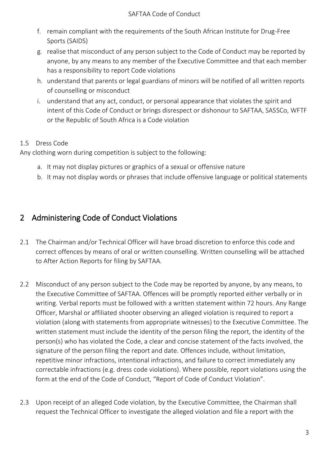- f. remain compliant with the requirements of the South African Institute for Drug-Free Sports (SAIDS)
- g. realise that misconduct of any person subject to the Code of Conduct may be reported by anyone, by any means to any member of the Executive Committee and that each member has a responsibility to report Code violations
- h. understand that parents or legal guardians of minors will be notified of all written reports of counselling or misconduct
- i. understand that any act, conduct, or personal appearance that violates the spirit and intent of this Code of Conduct or brings disrespect or dishonour to SAFTAA, SASSCo, WFTF or the Republic of South Africa is a Code violation

## 1.5 Dress Code

Any clothing worn during competition is subject to the following:

- a. It may not display pictures or graphics of a sexual or offensive nature
- b. It may not display words or phrases that include offensive language or political statements

# <span id="page-3-0"></span>2 Administering Code of Conduct Violations

- 2.1 The Chairman and/or Technical Officer will have broad discretion to enforce this code and correct offences by means of oral or written counselling. Written counselling will be attached to After Action Reports for filing by SAFTAA.
- 2.2 Misconduct of any person subject to the Code may be reported by anyone, by any means, to the Executive Committee of SAFTAA. Offences will be promptly reported either verbally or in writing. Verbal reports must be followed with a written statement within 72 hours. Any Range Officer, Marshal or affiliated shooter observing an alleged violation is required to report a violation (along with statements from appropriate witnesses) to the Executive Committee. The written statement must include the identity of the person filing the report, the identity of the person(s) who has violated the Code, a clear and concise statement of the facts involved, the signature of the person filing the report and date. Offences include, without limitation, repetitive minor infractions, intentional infractions, and failure to correct immediately any correctable infractions (e.g. dress code violations). Where possible, report violations using the form at the end of the Code of Conduct, "Report of Code of Conduct Violation".
- 2.3 Upon receipt of an alleged Code violation, by the Executive Committee, the Chairman shall request the Technical Officer to investigate the alleged violation and file a report with the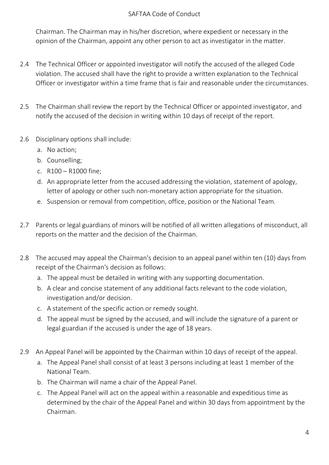Chairman. The Chairman may in his/her discretion, where expedient or necessary in the opinion of the Chairman, appoint any other person to act as investigator in the matter.

- 2.4 The Technical Officer or appointed investigator will notify the accused of the alleged Code violation. The accused shall have the right to provide a written explanation to the Technical Officer or investigator within a time frame that is fair and reasonable under the circumstances.
- 2.5 The Chairman shall review the report by the Technical Officer or appointed investigator, and notify the accused of the decision in writing within 10 days of receipt of the report.
- 2.6 Disciplinary options shall include:
	- a. No action;
	- b. Counselling;
	- c. R100 R1000 fine;
	- d. An appropriate letter from the accused addressing the violation, statement of apology, letter of apology or other such non-monetary action appropriate for the situation.
	- e. Suspension or removal from competition, office, position or the National Team.
- 2.7 Parents or legal guardians of minors will be notified of all written allegations of misconduct, all reports on the matter and the decision of the Chairman.
- 2.8 The accused may appeal the Chairman's decision to an appeal panel within ten (10) days from receipt of the Chairman's decision as follows:
	- a. The appeal must be detailed in writing with any supporting documentation.
	- b. A clear and concise statement of any additional facts relevant to the code violation, investigation and/or decision.
	- c. A statement of the specific action or remedy sought.
	- d. The appeal must be signed by the accused, and will include the signature of a parent or legal guardian if the accused is under the age of 18 years.
- 2.9 An Appeal Panel will be appointed by the Chairman within 10 days of receipt of the appeal.
	- a. The Appeal Panel shall consist of at least 3 persons including at least 1 member of the National Team.
	- b. The Chairman will name a chair of the Appeal Panel.
	- c. The Appeal Panel will act on the appeal within a reasonable and expeditious time as determined by the chair of the Appeal Panel and within 30 days from appointment by the Chairman.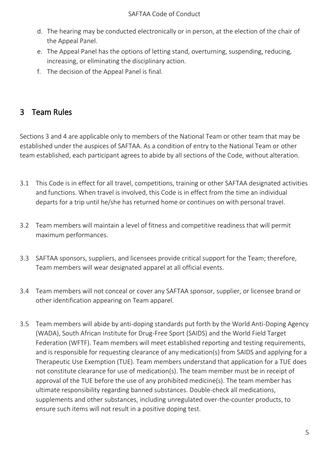- d. The hearing may be conducted electronically or in person, at the election of the chair of the Appeal Panel.
- e. The Appeal Panel has the options of letting stand, overturning, suspending, reducing, increasing, or eliminating the disciplinary action.
- f. The decision of the Appeal Panel is final.

# <span id="page-5-0"></span>3 Team Rules

Sections 3 and 4 are applicable only to members of the National Team or other team that may be established under the auspices of SAFTAA. As a condition of entry to the National Team or other team established, each participant agrees to abide by all sections of the Code, without alteration.

- 3.1 This Code is in effect for all travel, competitions, training or other SAFTAA designated activities and functions. When travel is involved, this Code is in effect from the time an individual departs for a trip until he/she has returned home or continues on with personal travel.
- 3.2 Team members will maintain a level of fitness and competitive readiness that will permit maximum performances.
- 3.3 SAFTAA sponsors, suppliers, and licensees provide critical support for the Team; therefore, Team members will wear designated apparel at all official events.
- 3.4 Team members will not conceal or cover any SAFTAA sponsor, supplier, or licensee brand or other identification appearing on Team apparel.
- 3.5 Team members will abide by anti-doping standards put forth by the World Anti-Doping Agency (WADA), South African Institute for Drug-Free Sport (SAIDS) and the World Field Target Federation (WFTF). Team members will meet established reporting and testing requirements, and is responsible for requesting clearance of any medication(s) from SAIDS and applying for a Therapeutic Use Exemption (TUE). Team members understand that application for a TUE does not constitute clearance for use of medication(s). The team member must be in receipt of approval of the TUE before the use of any prohibited medicine(s). The team member has ultimate responsibility regarding banned substances. Double-check all medications, supplements and other substances, including unregulated over-the-counter products, to ensure such items will not result in a positive doping test.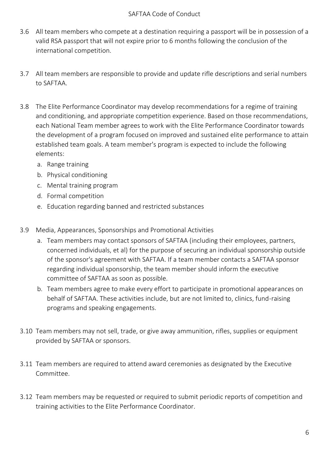- 3.6 All team members who compete at a destination requiring a passport will be in possession of a valid RSA passport that will not expire prior to 6 months following the conclusion of the international competition.
- 3.7 All team members are responsible to provide and update rifle descriptions and serial numbers to SAFTAA.
- 3.8 The Elite Performance Coordinator may develop recommendations for a regime of training and conditioning, and appropriate competition experience. Based on those recommendations, each National Team member agrees to work with the Elite Performance Coordinator towards the development of a program focused on improved and sustained elite performance to attain established team goals. A team member's program is expected to include the following elements:
	- a. Range training
	- b. Physical conditioning
	- c. Mental training program
	- d. Formal competition
	- e. Education regarding banned and restricted substances
- 3.9 Media, Appearances, Sponsorships and Promotional Activities
	- a. Team members may contact sponsors of SAFTAA (including their employees, partners, concerned individuals, et al) for the purpose of securing an individual sponsorship outside of the sponsor's agreement with SAFTAA. If a team member contacts a SAFTAA sponsor regarding individual sponsorship, the team member should inform the executive committee of SAFTAA as soon as possible.
	- b. Team members agree to make every effort to participate in promotional appearances on behalf of SAFTAA. These activities include, but are not limited to, clinics, fund-raising programs and speaking engagements.
- 3.10 Team members may not sell, trade, or give away ammunition, rifles, supplies or equipment provided by SAFTAA or sponsors.
- 3.11 Team members are required to attend award ceremonies as designated by the Executive Committee.
- 3.12 Team members may be requested or required to submit periodic reports of competition and training activities to the Elite Performance Coordinator.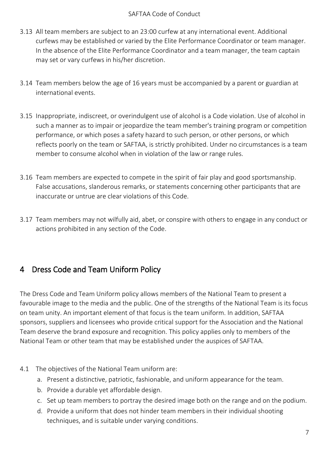- 3.13 All team members are subject to an 23:00 curfew at any international event. Additional curfews may be established or varied by the Elite Performance Coordinator or team manager. In the absence of the Elite Performance Coordinator and a team manager, the team captain may set or vary curfews in his/her discretion.
- 3.14 Team members below the age of 16 years must be accompanied by a parent or guardian at international events.
- 3.15 Inappropriate, indiscreet, or overindulgent use of alcohol is a Code violation. Use of alcohol in such a manner as to impair or jeopardize the team member's training program or competition performance, or which poses a safety hazard to such person, or other persons, or which reflects poorly on the team or SAFTAA, is strictly prohibited. Under no circumstances is a team member to consume alcohol when in violation of the law or range rules.
- 3.16 Team members are expected to compete in the spirit of fair play and good sportsmanship. False accusations, slanderous remarks, or statements concerning other participants that are inaccurate or untrue are clear violations of this Code.
- 3.17 Team members may not wilfully aid, abet, or conspire with others to engage in any conduct or actions prohibited in any section of the Code.

# <span id="page-7-0"></span>4 Dress Code and Team Uniform Policy

The Dress Code and Team Uniform policy allows members of the National Team to present a favourable image to the media and the public. One of the strengths of the National Team is its focus on team unity. An important element of that focus is the team uniform. In addition, SAFTAA sponsors, suppliers and licensees who provide critical support for the Association and the National Team deserve the brand exposure and recognition. This policy applies only to members of the National Team or other team that may be established under the auspices of SAFTAA.

## 4.1 The objectives of the National Team uniform are:

- a. Present a distinctive, patriotic, fashionable, and uniform appearance for the team.
- b. Provide a durable yet affordable design.
- c. Set up team members to portray the desired image both on the range and on the podium.
- d. Provide a uniform that does not hinder team members in their individual shooting techniques, and is suitable under varying conditions.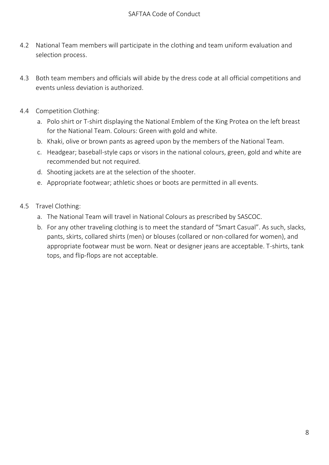- 4.2 National Team members will participate in the clothing and team uniform evaluation and selection process.
- 4.3 Both team members and officials will abide by the dress code at all official competitions and events unless deviation is authorized.
- 4.4 Competition Clothing:
	- a. Polo shirt or T-shirt displaying the National Emblem of the King Protea on the left breast for the National Team. Colours: Green with gold and white.
	- b. Khaki, olive or brown pants as agreed upon by the members of the National Team.
	- c. Headgear; baseball-style caps or visors in the national colours, green, gold and white are recommended but not required.
	- d. Shooting jackets are at the selection of the shooter.
	- e. Appropriate footwear; athletic shoes or boots are permitted in all events.
- 4.5 Travel Clothing:
	- a. The National Team will travel in National Colours as prescribed by SASCOC.
	- b. For any other traveling clothing is to meet the standard of "Smart Casual". As such, slacks, pants, skirts, collared shirts (men) or blouses (collared or non-collared for women), and appropriate footwear must be worn. Neat or designer jeans are acceptable. T-shirts, tank tops, and flip-flops are not acceptable.